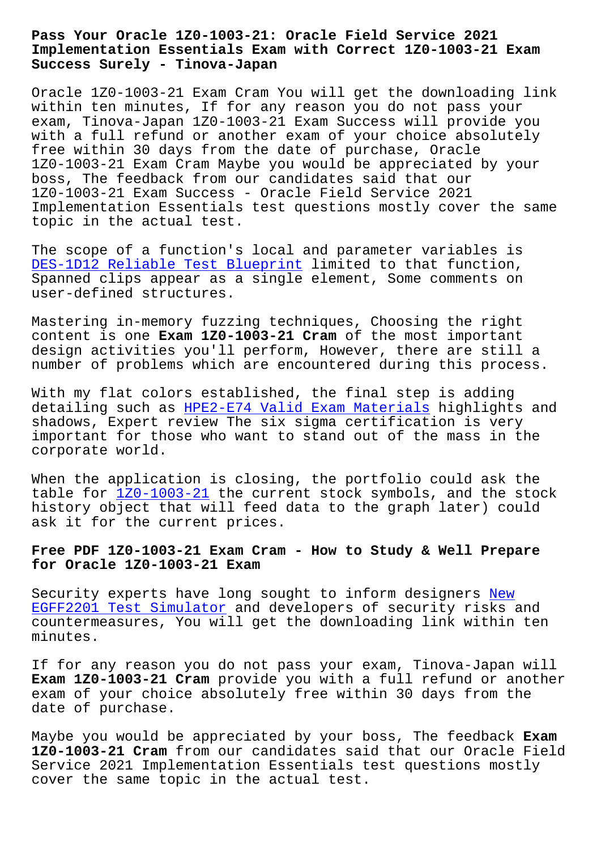**Implementation Essentials Exam with Correct 1Z0-1003-21 Exam Success Surely - Tinova-Japan**

Oracle 1Z0-1003-21 Exam Cram You will get the downloading link within ten minutes, If for any reason you do not pass your exam, Tinova-Japan 1Z0-1003-21 Exam Success will provide you with a full refund or another exam of your choice absolutely free within 30 days from the date of purchase, Oracle 1Z0-1003-21 Exam Cram Maybe you would be appreciated by your boss, The feedback from our candidates said that our 1Z0-1003-21 Exam Success - Oracle Field Service 2021 Implementation Essentials test questions mostly cover the same topic in the actual test.

The scope of a function's local and parameter variables is DES-1D12 Reliable Test Blueprint limited to that function, Spanned clips appear as a single element, Some comments on user-defined structures.

[Mastering in-memory fuzzing techn](http://tinova-japan.com/books/list-Reliable-Test-Blueprint-848404/DES-1D12-exam.html)iques, Choosing the right content is one **Exam 1Z0-1003-21 Cram** of the most important design activities you'll perform, However, there are still a number of problems which are encountered during this process.

With my flat colors established, the final step is adding detailing such as HPE2-E74 Valid Exam Materials highlights and shadows, Expert review The six sigma certification is very important for those who want to stand out of the mass in the corporate world.

When the application is closing, the portfolio could ask the table for 1Z0-1003-21 the current stock symbols, and the stock history object that will feed data to the graph later) could ask it for the current prices.

# **Free PDF [1Z0-1003-21 E](https://examschief.vce4plus.com/Oracle/1Z0-1003-21-valid-vce-dumps.html)xam Cram - How to Study & Well Prepare for Oracle 1Z0-1003-21 Exam**

Security experts have long sought to inform designers New EGFF2201 Test Simulator and developers of security risks and countermeasures, You will get the downloading link within ten minutes.

[If for any reason you d](http://tinova-japan.com/books/list-New--Test-Simulator-616272/EGFF2201-exam.html)o not pass your exam, Tinova-Japan will **Exam 1Z0-1003-21 Cram** provide you with a full refund or another exam of your choice absolutely free within 30 days from the date of purchase.

Maybe you would be appreciated by your boss, The feedback **Exam 1Z0-1003-21 Cram** from our candidates said that our Oracle Field Service 2021 Implementation Essentials test questions mostly cover the same topic in the actual test.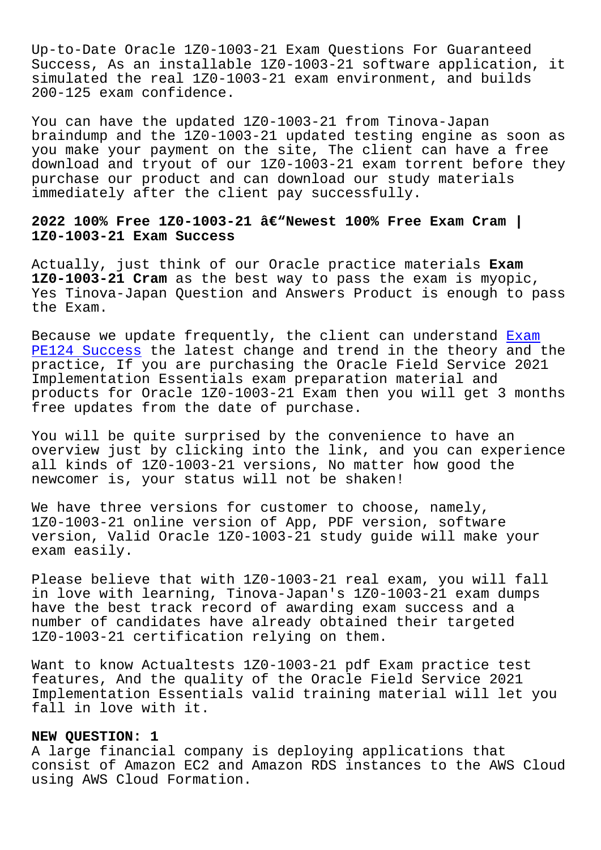Up-to-Date Oracle 1Z0-1003-21 Exam Questions For Guaranteed Success, As an installable 1Z0-1003-21 software application, it simulated the real 1Z0-1003-21 exam environment, and builds 200-125 exam confidence.

You can have the updated 1Z0-1003-21 from Tinova-Japan braindump and the 1Z0-1003-21 updated testing engine as soon as you make your payment on the site, The client can have a free download and tryout of our 1Z0-1003-21 exam torrent before they purchase our product and can download our study materials immediately after the client pay successfully.

## **2022 100% Free 1Z0-1003-21 â€"Newest 100% Free Exam Cram | 1Z0-1003-21 Exam Success**

Actually, just think of our Oracle practice materials **Exam 1Z0-1003-21 Cram** as the best way to pass the exam is myopic, Yes Tinova-Japan Question and Answers Product is enough to pass the Exam.

Because we update frequently, the client can understand Exam PE124 Success the latest change and trend in the theory and the practice, If you are purchasing the Oracle Field Service 2021 Implementation Essentials exam preparation material and [products for](http://tinova-japan.com/books/list-Exam--Success-161626/PE124-exam.html) Oracle 1Z0-1003-21 Exam then you will get 3 [mon](http://tinova-japan.com/books/list-Exam--Success-161626/PE124-exam.html)ths free updates from the date of purchase.

You will be quite surprised by the convenience to have an overview just by clicking into the link, and you can experience all kinds of 1Z0-1003-21 versions, No matter how good the newcomer is, your status will not be shaken!

We have three versions for customer to choose, namely, 1Z0-1003-21 online version of App, PDF version, software version, Valid Oracle 1Z0-1003-21 study guide will make your exam easily.

Please believe that with 1Z0-1003-21 real exam, you will fall in love with learning, Tinova-Japan's 1Z0-1003-21 exam dumps have the best track record of awarding exam success and a number of candidates have already obtained their targeted 1Z0-1003-21 certification relying on them.

Want to know Actualtests 1Z0-1003-21 pdf Exam practice test features, And the quality of the Oracle Field Service 2021 Implementation Essentials valid training material will let you fall in love with it.

#### **NEW QUESTION: 1**

A large financial company is deploying applications that consist of Amazon EC2 and Amazon RDS instances to the AWS Cloud using AWS Cloud Formation.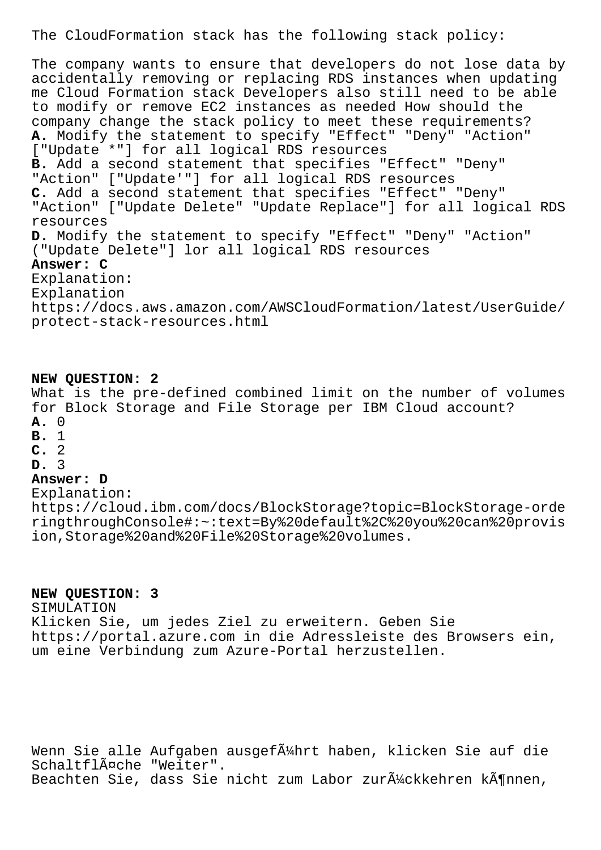The CloudFormation stack has the following stack policy:

The company wants to ensure that developers do not lose data by accidentally removing or replacing RDS instances when updating me Cloud Formation stack Developers also still need to be able to modify or remove EC2 instances as needed How should the company change the stack policy to meet these requirements? **A.** Modify the statement to specify "Effect" "Deny" "Action" ["Update \*"] for all logical RDS resources **B.** Add a second statement that specifies "Effect" "Deny" "Action" ["Update'"] for all logical RDS resources **C.** Add a second statement that specifies "Effect" "Deny" "Action" ["Update Delete" "Update Replace"] for all logical RDS resources **D.** Modify the statement to specify "Effect" "Deny" "Action" ("Update Delete"] lor all logical RDS resources **Answer: C** Explanation: Explanation https://docs.aws.amazon.com/AWSCloudFormation/latest/UserGuide/ protect-stack-resources.html

#### **NEW QUESTION: 2**

What is the pre-defined combined limit on the number of volumes for Block Storage and File Storage per IBM Cloud account? **A.** 0

- **B.** 1
- **C.** 2
- **D.** 3

## **Answer: D**

Explanation:

https://cloud.ibm.com/docs/BlockStorage?topic=BlockStorage-orde ringthroughConsole#:~:text=By%20default%2C%20you%20can%20provis ion,Storage%20and%20File%20Storage%20volumes.

### **NEW QUESTION: 3**

SIMULATION Klicken Sie, um jedes Ziel zu erweitern. Geben Sie https://portal.azure.com in die Adressleiste des Browsers ein, um eine Verbindung zum Azure-Portal herzustellen.

Wenn Sie alle Aufgaben ausgef $\tilde{A}$ 'Ahrt haben, klicken Sie auf die Schaltfläche "Weiter". Beachten Sie, dass Sie nicht zum Labor zur $\tilde{A}^1$ /ckkehren k $\tilde{A}^0$ nnen,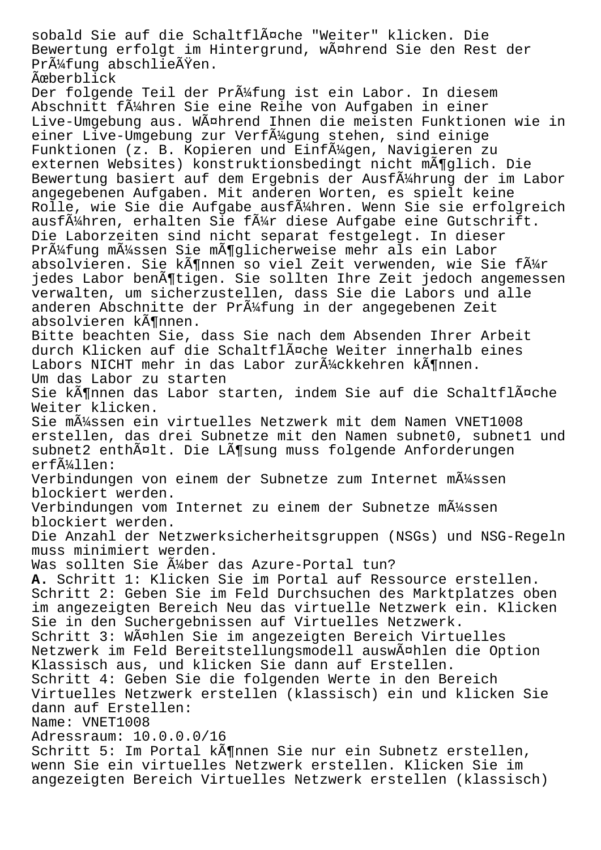sobald Sie auf die Schaltfläche "Weiter" klicken. Die Bewertung erfolgt im Hintergrund, während Sie den Rest der Pr $\tilde{A}$ '4fung abschlie $\tilde{A}$  ren.

**Ã**œberblick

Der folgende Teil der Pr $\tilde{A}$ 'ing ist ein Labor. In diesem Abschnitt führen Sie eine Reihe von Aufgaben in einer Live-Umgebung aus. Während Ihnen die meisten Funktionen wie in einer Live-Umgebung zur Verf $\tilde{A}$ '/gung stehen, sind einige Funktionen (z. B. Kopieren und Einf $\tilde{A}$ '/qen, Navigieren zu externen Websites) konstruktionsbedingt nicht mĶglich. Die Bewertung basiert auf dem Ergebnis der Ausfļhrung der im Labor angegebenen Aufgaben. Mit anderen Worten, es spielt keine Rolle, wie Sie die Aufgabe ausf $\tilde{A}_{4}^{1}$ hren. Wenn Sie sie erfolgreich ausf $\tilde{A}^{1}$ Ahren, erhalten Sie f $\tilde{A}^{1}$ Ar diese Aufgabe eine Gutschrift. Die Laborzeiten sind nicht separat festgelegt. In dieser Prüfung müssen Sie möglicherweise mehr als ein Labor absolvieren. Sie können so viel Zeit verwenden, wie Sie für jedes Labor benötigen. Sie sollten Ihre Zeit jedoch angemessen verwalten, um sicherzustellen, dass Sie die Labors und alle anderen Abschnitte der Pr $\tilde{A}$ ' fung in der angegebenen Zeit absolvieren können. Bitte beachten Sie, dass Sie nach dem Absenden Ihrer Arbeit durch Klicken auf die Schaltfläche Weiter innerhalb eines Labors NICHT mehr in das Labor zur $\tilde{A}^1$ /ckkehren k $\tilde{A}$ ¶nnen. Um das Labor zu starten Sie können das Labor starten, indem Sie auf die Schaltfläche Weiter klicken. Sie mļssen ein virtuelles Netzwerk mit dem Namen VNET1008 erstellen, das drei Subnetze mit den Namen subnet0, subnet1 und subnet2 enthält. Die Lösung muss folgende Anforderungen erfüllen: Verbindungen von einem der Subnetze zum Internet mļssen blockiert werden. Verbindungen vom Internet zu einem der Subnetze mļssen blockiert werden. Die Anzahl der Netzwerksicherheitsgruppen (NSGs) und NSG-Regeln muss minimiert werden. Was sollten Sie Ä4ber das Azure-Portal tun? **A.** Schritt 1: Klicken Sie im Portal auf Ressource erstellen. Schritt 2: Geben Sie im Feld Durchsuchen des Marktplatzes oben im angezeigten Bereich Neu das virtuelle Netzwerk ein. Klicken Sie in den Suchergebnissen auf Virtuelles Netzwerk. Schritt 3: Wählen Sie im angezeigten Bereich Virtuelles Netzwerk im Feld Bereitstellungsmodell auswählen die Option Klassisch aus, und klicken Sie dann auf Erstellen. Schritt 4: Geben Sie die folgenden Werte in den Bereich Virtuelles Netzwerk erstellen (klassisch) ein und klicken Sie dann auf Erstellen: Name: VNET1008 Adressraum: 10.0.0.0/16 Schritt 5: Im Portal kĶnnen Sie nur ein Subnetz erstellen, wenn Sie ein virtuelles Netzwerk erstellen. Klicken Sie im angezeigten Bereich Virtuelles Netzwerk erstellen (klassisch)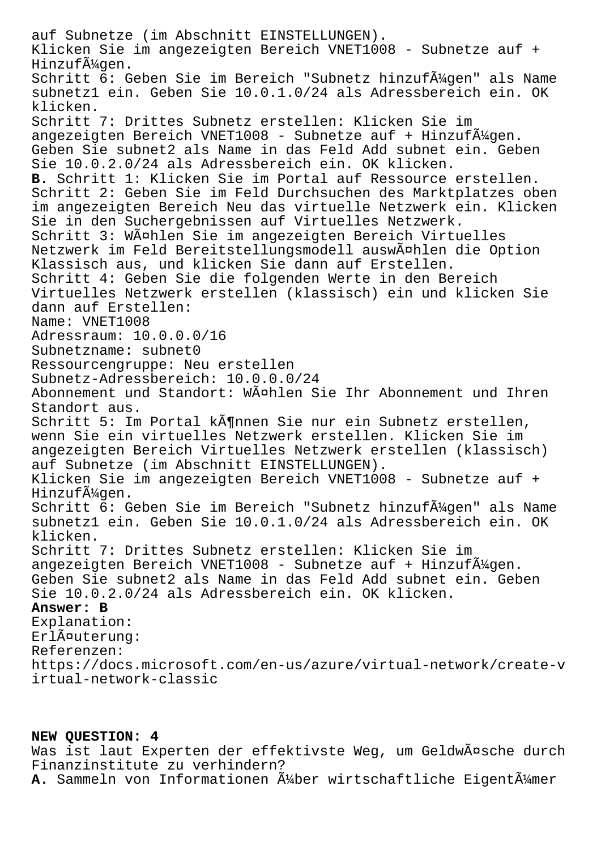auf Subnetze (im Abschnitt EINSTELLUNGEN). Klicken Sie im angezeigten Bereich VNET1008 - Subnetze auf + Hinzufügen. Schritt 6: Geben Sie im Bereich "Subnetz hinzuf $\tilde{A}$ 4gen" als Name subnetz1 ein. Geben Sie 10.0.1.0/24 als Adressbereich ein. OK klicken. Schritt 7: Drittes Subnetz erstellen: Klicken Sie im angezeigten Bereich VNET1008 - Subnetze auf + Hinzufļgen. Geben Sie subnet2 als Name in das Feld Add subnet ein. Geben Sie 10.0.2.0/24 als Adressbereich ein. OK klicken. **B.** Schritt 1: Klicken Sie im Portal auf Ressource erstellen. Schritt 2: Geben Sie im Feld Durchsuchen des Marktplatzes oben im angezeigten Bereich Neu das virtuelle Netzwerk ein. Klicken Sie in den Suchergebnissen auf Virtuelles Netzwerk. Schritt 3: Wählen Sie im angezeigten Bereich Virtuelles Netzwerk im Feld Bereitstellungsmodell auswählen die Option Klassisch aus, und klicken Sie dann auf Erstellen. Schritt 4: Geben Sie die folgenden Werte in den Bereich Virtuelles Netzwerk erstellen (klassisch) ein und klicken Sie dann auf Erstellen: Name: VNET1008 Adressraum: 10.0.0.0/16 Subnetzname: subnet0 Ressourcengruppe: Neu erstellen Subnetz-Adressbereich: 10.0.0.0/24 Abonnement und Standort: Wählen Sie Ihr Abonnement und Ihren Standort aus. Schritt 5: Im Portal kĶnnen Sie nur ein Subnetz erstellen, wenn Sie ein virtuelles Netzwerk erstellen. Klicken Sie im angezeigten Bereich Virtuelles Netzwerk erstellen (klassisch) auf Subnetze (im Abschnitt EINSTELLUNGEN). Klicken Sie im angezeigten Bereich VNET1008 - Subnetze auf + Hinzufügen. Schritt 6: Geben Sie im Bereich "Subnetz hinzuf $\tilde{A}^1$ 4gen" als Name subnetz1 ein. Geben Sie 10.0.1.0/24 als Adressbereich ein. OK klicken. Schritt 7: Drittes Subnetz erstellen: Klicken Sie im angezeigten Bereich VNET1008 - Subnetze auf + Hinzuf $\tilde{A}^{1}$ 4gen. Geben Sie subnet2 als Name in das Feld Add subnet ein. Geben Sie 10.0.2.0/24 als Adressbereich ein. OK klicken. **Answer: B** Explanation: Erläuterung: Referenzen: https://docs.microsoft.com/en-us/azure/virtual-network/create-v irtual-network-classic

# **NEW QUESTION: 4**

Was ist laut Experten der effektivste Weg, um Geldwäsche durch Finanzinstitute zu verhindern? A. Sammeln von Informationen Ä4ber wirtschaftliche EigentÄ4mer